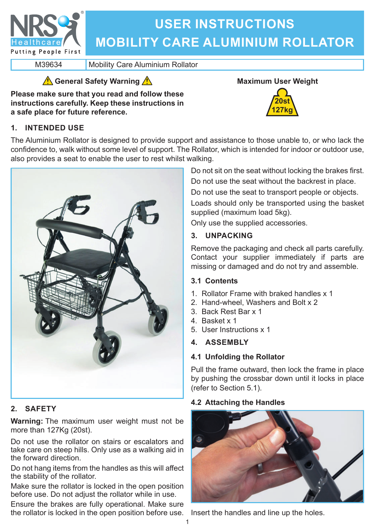

# **USER INSTRUCTIONS MOBILITY CARE ALUMINIUM ROLLATOR**

M39634 Mobility Care Aluminium Rollator

# **General Safety Warning**

**Please make sure that you read and follow these instructions carefully. Keep these instructions in a safe place for future reference.**

# **1. INTENDED USE**



The Aluminium Rollator is designed to provide support and assistance to those unable to, or who lack the confidence to, walk without some level of support. The Rollator, which is intended for indoor or outdoor use, also provides a seat to enable the user to rest whilst walking.



# **2. SAFETY**

**Warning:** The maximum user weight must not be more than 127Kg (20st).

Do not use the rollator on stairs or escalators and take care on steep hills. Only use as a walking aid in the forward direction.

Do not hang items from the handles as this will affect the stability of the rollator.

Make sure the rollator is locked in the open position before use. Do not adjust the rollator while in use.

Ensure the brakes are fully operational. Make sure the rollator is locked in the open position before use. Insert the handles and line up the holes.

Do not sit on the seat without locking the brakes first.

Do not use the seat without the backrest in place.

Do not use the seat to transport people or objects.

Loads should only be transported using the basket supplied (maximum load 5kg).

Only use the supplied accessories.

# **3. UNPACKING**

Remove the packaging and check all parts carefully. Contact your supplier immediately if parts are missing or damaged and do not try and assemble.

# **3.1 Contents**

- 1. Rollator Frame with braked handles x 1
- 2. Hand-wheel, Washers and Bolt x 2
- 3. Back Rest Bar x 1
- 4. Basket x 1
- 5. User Instructions x 1

# **4. ASSEMBLY**

# **4.1 Unfolding the Rollator**

Pull the frame outward, then lock the frame in place by pushing the crossbar down until it locks in place (refer to Section 5.1).

# **4.2 Attaching the Handles**

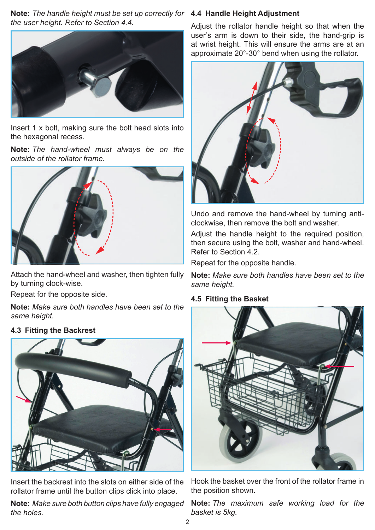**Note:** *The handle height must be set up correctly for*  **4.4 Handle Height Adjustment** *the user height. Refer to Section 4.4.*



Insert 1 x bolt, making sure the bolt head slots into the hexagonal recess.

**Note:** *The hand-wheel must always be on the outside of the rollator frame.*



Attach the hand-wheel and washer, then tighten fully by turning clock-wise.

Repeat for the opposite side.

**Note:** *Make sure both handles have been set to the same height.*

#### **4.3 Fitting the Backrest**



Insert the backrest into the slots on either side of the rollator frame until the button clips click into place.

**Note:** *Make sure both button clips have fully engaged the holes.*

Adjust the rollator handle height so that when the user's arm is down to their side, the hand-grip is at wrist height. This will ensure the arms are at an approximate 20°-30° bend when using the rollator.



Undo and remove the hand-wheel by turning anticlockwise, then remove the bolt and washer.

Adjust the handle height to the required position, then secure using the bolt, washer and hand-wheel. Refer to Section 4.2.

Repeat for the opposite handle.

**Note:** *Make sure both handles have been set to the same height.*

#### **4.5 Fitting the Basket**



Hook the basket over the front of the rollator frame in the position shown.

**Note:** *The maximum safe working load for the basket is 5kg.*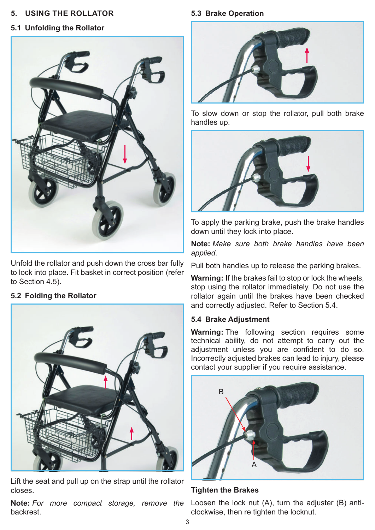#### **5. USING THE ROLLATOR**

### **5.1 Unfolding the Rollator**



Unfold the rollator and push down the cross bar fully to lock into place. Fit basket in correct position (refer to Section 4.5).

#### **5.2 Folding the Rollator**



Lift the seat and pull up on the strap until the rollator closes.

**Note:** *For more compact storage, remove the*  Loosen the lock nut (A), turn the adjuster (B) antibackrest.

#### **5.3 Brake Operation**



To slow down or stop the rollator, pull both brake handles up.



To apply the parking brake, push the brake handles down until they lock into place.

**Note:** *Make sure both brake handles have been applied.*

Pull both handles up to release the parking brakes.

**Warning:** If the brakes fail to stop or lock the wheels, stop using the rollator immediately. Do not use the rollator again until the brakes have been checked and correctly adjusted. Refer to Section 5.4.

#### **5.4 Brake Adjustment**

**Warning:** The following section requires some technical ability, do not attempt to carry out the adjustment unless you are confident to do so. Incorrectly adjusted brakes can lead to injury, please contact your supplier if you require assistance.



**Tighten the Brakes**

clockwise, then re tighten the locknut.